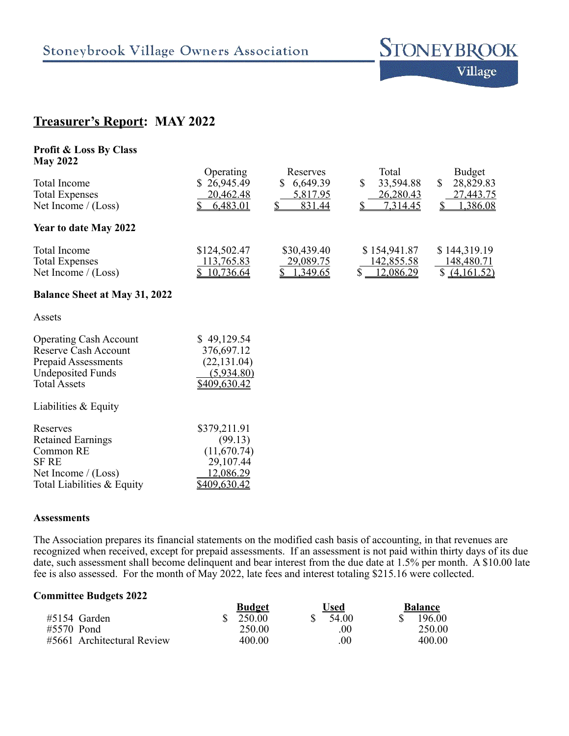

# **Treasurer's Report: MAY 2022**

| <b>Profit &amp; Loss By Class</b><br><b>May 2022</b>                                                                                   |                                                                         |                                                   |                                                      |                                                    |
|----------------------------------------------------------------------------------------------------------------------------------------|-------------------------------------------------------------------------|---------------------------------------------------|------------------------------------------------------|----------------------------------------------------|
| <b>Total Income</b><br><b>Total Expenses</b><br>Net Income $/(Loss)$                                                                   | Operating<br>26,945.49<br>S.<br>20,462.48<br>6,483.01                   | Reserves<br>6,649.39<br>S.<br>5,817.95<br>831.44  | Total<br>33,594.88<br>\$<br>26,280.43<br>7,314.45    | Budget<br>\$<br>28,829.83<br>27,443.75<br>1,386.08 |
| Year to date May 2022                                                                                                                  |                                                                         |                                                   |                                                      |                                                    |
| <b>Total Income</b><br><b>Total Expenses</b><br>Net Income $/(Loss)$                                                                   | \$124,502.47<br><u>113,765.83</u><br>10,736.64                          | \$30,439.40<br><u>29,089.75</u><br>\$<br>1,349.65 | \$154,941.87<br><u>142,855.58</u><br>\$<br>12,086.29 | \$144,319.19<br>148,480.71<br>\$ (4,161.52)        |
| <b>Balance Sheet at May 31, 2022</b>                                                                                                   |                                                                         |                                                   |                                                      |                                                    |
| Assets                                                                                                                                 |                                                                         |                                                   |                                                      |                                                    |
| <b>Operating Cash Account</b><br>Reserve Cash Account<br><b>Prepaid Assessments</b><br><b>Undeposited Funds</b><br><b>Total Assets</b> | \$49,129.54<br>376,697.12<br>(22, 131.04)<br>(5,934.80)<br>\$409,630.42 |                                                   |                                                      |                                                    |
| Liabilities & Equity                                                                                                                   |                                                                         |                                                   |                                                      |                                                    |
| Reserves<br><b>Retained Earnings</b><br>Common RE<br><b>SF RE</b><br>Net Income $/(Loss)$                                              | \$379,211.91<br>(99.13)<br>(11,670.74)<br>29,107.44<br>12,086.29        |                                                   |                                                      |                                                    |

#### **Assessments**

The Association prepares its financial statements on the modified cash basis of accounting, in that revenues are recognized when received, except for prepaid assessments. If an assessment is not paid within thirty days of its due date, such assessment shall become delinquent and bear interest from the due date at 1.5% per month. A \$10.00 late fee is also assessed. For the month of May 2022, late fees and interest totaling \$215.16 were collected.

### **Committee Budgets 2022**

Total Liabilities & Equity  $\frac{$409,630.42}{2}$ 

|                            | <b>Budget</b> | ∪sed   | <b>Balance</b> |
|----------------------------|---------------|--------|----------------|
| $#5154$ Garden             | 250.00        | 54.00  | 196.00         |
| #5570 Pond                 | 250.00        | 00     | 250.00         |
| #5661 Architectural Review | 400.00        | $00\,$ | 400.00         |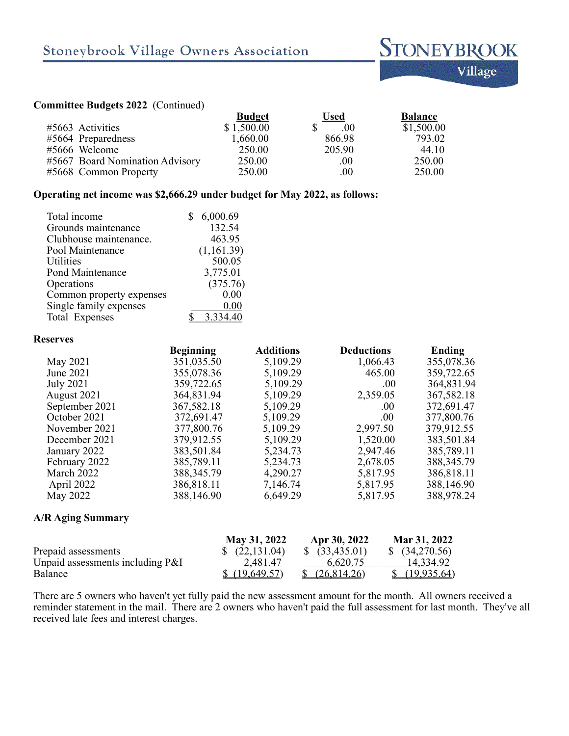

# **Committee Budgets 2022** (Continued)

|                                 | <b>Budget</b> | <b>Used</b> | <b>Balance</b> |
|---------------------------------|---------------|-------------|----------------|
| #5663 Activities                | \$1,500.00    | .00         | \$1,500.00     |
| #5664 Preparedness              | 1,660.00      | 866.98      | 793.02         |
| #5666 Welcome                   | 250.00        | 205.90      | 44.10          |
| #5667 Board Nomination Advisory | 250.00        | .00.        | 250.00         |
| #5668 Common Property           | 250.00        | .00         | 250.00         |

## **Operating net income was \$2,666.29 under budget for May 2022, as follows:**

| Total income             | 6,000.69   |
|--------------------------|------------|
| Grounds maintenance      | 132.54     |
| Clubhouse maintenance.   | 463.95     |
| Pool Maintenance         | (1,161.39) |
| <b>Utilities</b>         | 500.05     |
| Pond Maintenance         | 3,775.01   |
| Operations               | (375.76)   |
| Common property expenses | 0.00       |
| Single family expenses   | 0.00       |
| Total Expenses           | 3.334.40   |

#### **Reserves**

|                  | <b>Beginning</b> | <b>Additions</b> | <b>Deductions</b> | Ending       |
|------------------|------------------|------------------|-------------------|--------------|
| May 2021         | 351,035.50       | 5,109.29         | 1,066.43          | 355,078.36   |
| June 2021        | 355,078.36       | 5,109.29         | 465.00            | 359,722.65   |
| <b>July 2021</b> | 359,722.65       | 5,109.29         | .00.              | 364,831.94   |
| August 2021      | 364,831.94       | 5,109.29         | 2,359.05          | 367,582.18   |
| September 2021   | 367,582.18       | 5,109.29         | .00.              | 372,691.47   |
| October 2021     | 372,691.47       | 5,109.29         | .00.              | 377,800.76   |
| November 2021    | 377,800.76       | 5,109.29         | 2,997.50          | 379,912.55   |
| December 2021    | 379,912.55       | 5,109.29         | 1,520.00          | 383,501.84   |
| January 2022     | 383,501.84       | 5,234.73         | 2,947.46          | 385,789.11   |
| February 2022    | 385,789.11       | 5,234.73         | 2,678.05          | 388, 345. 79 |
| March 2022       | 388, 345. 79     | 4,290.27         | 5,817.95          | 386,818.11   |
| April 2022       | 386,818.11       | 7,146.74         | 5,817.95          | 388,146.90   |
| May 2022         | 388,146.90       | 6,649.29         | 5,817.95          | 388,978.24   |
|                  |                  |                  |                   |              |

### **A/R Aging Summary**

|                                    | May 31, 2022     | Apr 30, 2022            | Mar 31, 2022              |
|------------------------------------|------------------|-------------------------|---------------------------|
| Prepaid assessments                | $\{(22, 131.04)$ | $\$$ (33,435.01)        | $\frac{1}{2}$ (34,270.56) |
| Unpaid assessments including $P&I$ | 2,481.47         | 6.620.75                | 14.334.92                 |
| Balance                            | \$(19,649.57)    | $\frac{(26,814.26)}{2}$ | \$(19,935.64)             |

There are 5 owners who haven't yet fully paid the new assessment amount for the month. All owners received a reminder statement in the mail. There are 2 owners who haven't paid the full assessment for last month. They've all received late fees and interest charges.